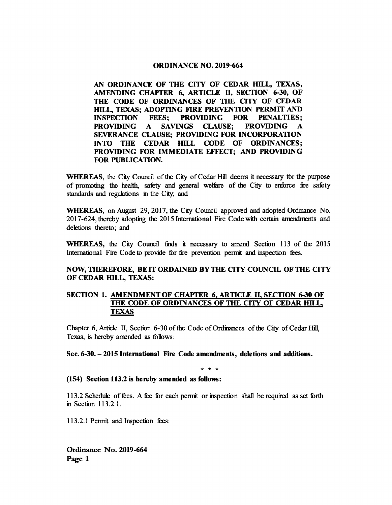### ORDINANCE NO. 2019-664

AN ORDINANCE OF THE CITY OF CEDAR HILL, TEXAS, AMENDING CHAPTER 6, ARTICLE II, SECTION 6-30, OF THE CODE OF ORDINANCES OF THE CITY OF CEDAR HILL, TEXAS; ADOPTING FIRE PREVENTION PERMIT AND<br>INSPECTION FEES; PROVIDING FOR PENALTIES; FEES; PROVIDING FOR PENALTIES; PROVIDING A SAVINGS CLAUSE; PROVIDING A SEVERANCE CLAUSE; PROVIDING FOR INCORPORATION INTO THE CEDAR HILL CODE OF ORDINANCES; PROVIDING FOR IMMEDIATE EFFECT; AND PROVIDING FOR PUBLICATION.

WHEREAS, the City Council of the City of Cedar Hill deems it necessary for the purpose of promoting the health, safety and general welfare of the City to enforce fie safety standards and regulations in the City, and

WHEREAS, on August 29, 2017, the City Council approved and adopted Ordinance No. 2017- 624, thereby adopting the 2015 International Fire Code with certain amendments and deletions thereto; and

WHEREAS, the City Council finds it necessary to amend Section <sup>113</sup> of the 2015 International Fire Code to provide for fire prevention permit and inspection fees.

# NOW, THEREFORE, BE IT ORDAINED BY THE CITY COUNCIL OF THE CITY OF CEDAR HILL, TEXAS:

## SECTION 1. AMENDMENT OF CHAPTER 6, ARTICLE II, SECTION 6-30 OF THE CODE OF ORDINANCES OF THE CITY OF CEDAR HILL TEXAS

Chapter 6, Article II, Section 6-30 of the Code of Ordinances of the City of Cedar Hill, Texas, is hereby amended as follows:

Sec. 6-30.— 2015 International Fire Code amendments, deletions and additions.

\* \* \*

154) Section 113.2 is hereby amended as follows:

113. <sup>2</sup> Schedule of fees. A fee for each permit or inspection shall be required as set forth in Section 113.2.1.

113. 2. <sup>1</sup> Permit and Inspection fees: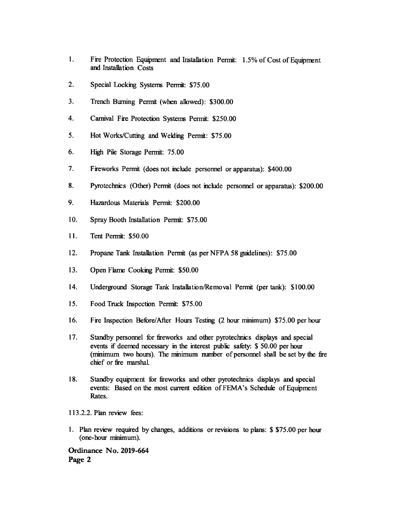- 1. Fire Protection Equipment and Installation Permit: 1. 5% of Cost of Equipment and Installation Costs
- 2. Special Locking Systems Permit: \$75.00
- 3. Trench Burning Permit (when allowed): \$300.00
- 4. Carnival Fire Protection Systems Permit: \$250.00
- 5. Hot Works/Cutting and Welding Permit: \$75.00
- 6. High Pile Storage Permit: 75. 00
- 7. Fireworks Permit (does not include personnel or apparatus): \$400.00
- 8. Pyrotechnics (Other) Permit (does not include personnel or apparatus): \$200.00
- 9. Hazardous Materials Permit: \$200.00
- 10. Spray Booth Installation Permit: \$75.00
- 11. Tent Permit: \$ 50.00
- 12. Propane Tank Installation Permit (as per NFPA 58 guidelines): \$75.00
- 13. Open Flame Cooking Permit: \$50.00
- 14. Underground Storage Tank Installation/Removal Permit (per tank): \$100.00
- 15. Food Truck Inspection Permit: \$75.00
- 16. Fire Inspection Before/After Hours Testing (2 hour minimum) \$75.00 per hour
- 17. Standby personnel for fireworks and other pyrotechnics displays and special events if deemed necessary in the interest public safety: \$ 50.00 per hour minimum two hours). The minimum number of personnel shall be set by the fire chief or fire marshal.
- 18. Standby equipment for fireworks and other pyrotechnics displays and special events: Based on the most current edition of FEMA's Schedule of Equipment Rates.
- 113.2.2. Plan review fees:
- 1. Plan review required by changes, additions or revisions to plans: \$ \$ 75. 00 per hour one- hour minimum).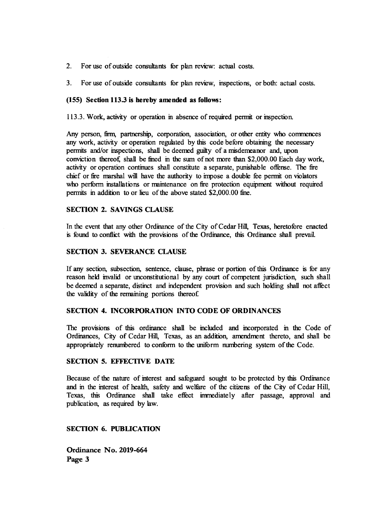- 2. For use of outside consultants for plan review: actual costs.
- 3. For use of outside consultants for plan review, inspections, or both: actual costs.

### 155) Section 113.3 is hereby amended as follows:

113. 3. Work, activity or operation in absence of required permit or inspection.

Any person, firm, partnership, corporation, association, or other entity who commences any work, activity or operation regulated by this code before obtaining the necessary permits and/or inspections, shall be deemed guilty of <sup>a</sup> misdemeanor and, upon conviction thereof, shall be fined in the sum of not more than \$2,000.00 Each day work, activity or operation continues shall constitute a separate, punishable offense. The fire chief or fire marshal will have the authority to impose a double fee permit on violators who perform installations or maintenance on fire protection equipment without required permits in addition to or lieu of the above stated \$2,000.00 fine.

## SECTION 2. SAVINGS CLAUSE

In the event that any other Ordinance of the City of Cedar Hill, Texas, heretofore enacted is found to conflict with the provisions of the Ordinance, this Ordinance shall prevail.

## SECTION 3. SEVERANCE CLAUSE

If any section, subsection, sentence, clause, phrase or portion ofthis Ordinance is for any reason held invalid or unconstitutional by any court of competent jurisdiction, such shall be deemed a separate, distinct and independent provision and such holding shall not affect the validity of the remaining portions thereof

### SECTION 4. INCORPORATION INTO CODE OF ORDINANCES

The provisions of this ordinance shall be included and incorporated in the Code of Ordinances, City of Cedar Hill, Texas, as an addition, amendment thereto, and shall be appropriately renumbered to conform to the uniform numbering system of the Code.

## SECTION 5. EFFECTIVE DATE

Because of the nature of interest and safeguard sought to be protected by this Ordinance and in the interest of health, safety and welfare of the citizens of the City of Cedar Hill, Texas, this Ordinance shall take effect immediately after passage, approval and publication, as required by law.

SECTION 6. PUBLICATION